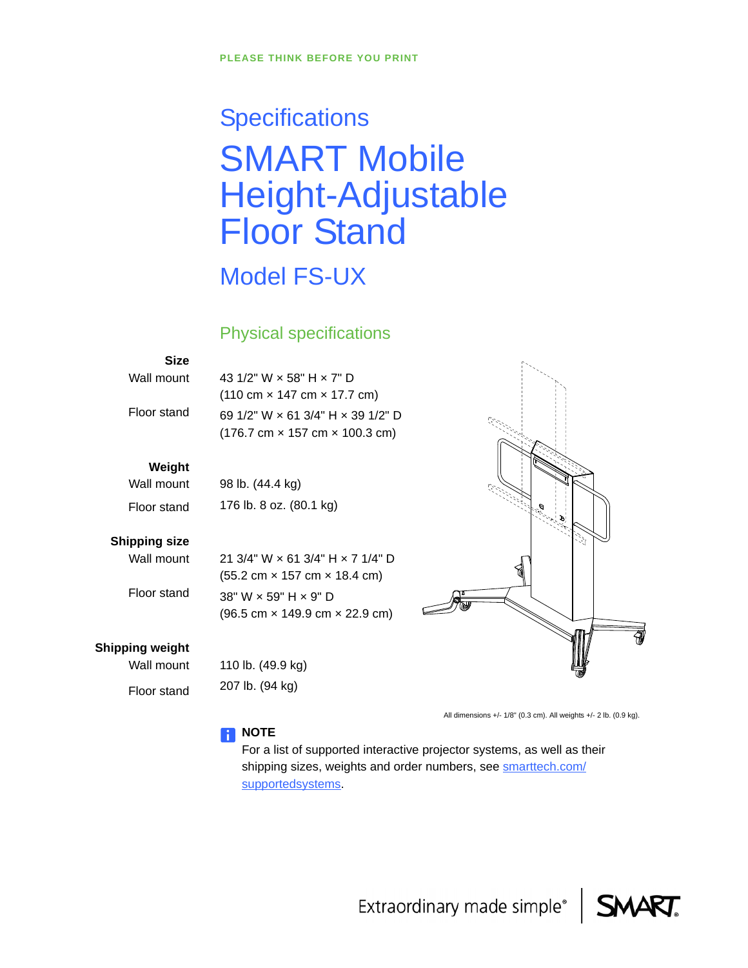# **Specifications** SMART Mobile Height-Adjustable Floor Stand

# Model FS-UX

#### Physical specifications

#### **Size**

Wall mount

Floor stand

43 1/2" W × 58" H × 7" D (110 cm × 147 cm × 17.7 cm) 69 1/2" W × 61 3/4" H × 39 1/2" D (176.7 cm × 157 cm × 100.3 cm)

21 3/4" W × 61 3/4" H × 7 1/4" D (55.2 cm × 157 cm × 18.4 cm)

#### **Weight**

Wall mount Floor stand 98 lb. (44.4 kg) 176 lb. 8 oz. (80.1 kg)

#### **Shipping size**

Wall mount

Floor stand

38" W × 59" H × 9" D (96.5 cm × 149.9 cm × 22.9 cm)

#### **Shipping weight**

Wall mount Floor stand

110 lb. (49.9 kg) 207 lb. (94 kg)



All dimensions +/- 1/8" (0.3 cm). All weights +/- 2 lb. (0.9 kg).

#### **NOTE**

For a list of supported interactive projector systems, as well as their shipping sizes, weights and order numbers, see [smarttech.com/](http://www.smarttech.com/supportedsystems) [supportedsystems](http://www.smarttech.com/supportedsystems).

Extraordinary made simple®

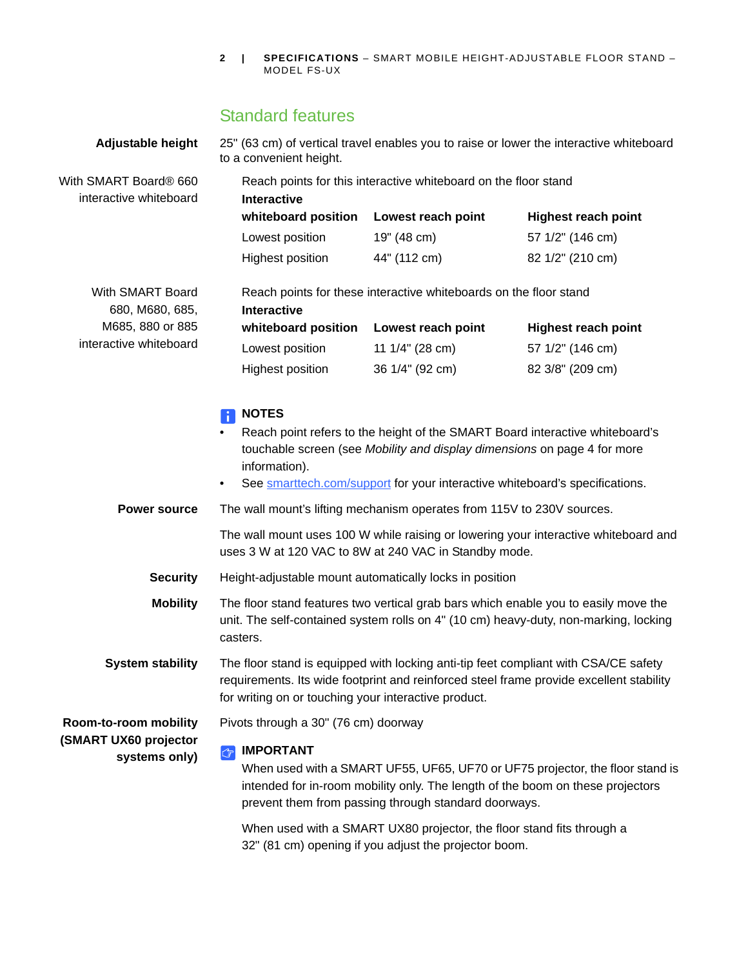## Standard features

| Adjustable height                                               | 25" (63 cm) of vertical travel enables you to raise or lower the interactive whiteboard<br>to a convenient height.                                                                                                                                                                                                                                                                                                                                                                                              |                                                       |                            |  |
|-----------------------------------------------------------------|-----------------------------------------------------------------------------------------------------------------------------------------------------------------------------------------------------------------------------------------------------------------------------------------------------------------------------------------------------------------------------------------------------------------------------------------------------------------------------------------------------------------|-------------------------------------------------------|----------------------------|--|
| With SMART Board® 660<br>interactive whiteboard                 | Reach points for this interactive whiteboard on the floor stand<br>Interactive                                                                                                                                                                                                                                                                                                                                                                                                                                  |                                                       |                            |  |
|                                                                 | whiteboard position                                                                                                                                                                                                                                                                                                                                                                                                                                                                                             | Lowest reach point                                    | <b>Highest reach point</b> |  |
|                                                                 | Lowest position                                                                                                                                                                                                                                                                                                                                                                                                                                                                                                 | 19" (48 cm)                                           | 57 1/2" (146 cm)           |  |
|                                                                 | Highest position                                                                                                                                                                                                                                                                                                                                                                                                                                                                                                | 44" (112 cm)                                          | 82 1/2" (210 cm)           |  |
| With SMART Board<br>680, M680, 685,                             | Reach points for these interactive whiteboards on the floor stand                                                                                                                                                                                                                                                                                                                                                                                                                                               |                                                       |                            |  |
| M685, 880 or 885                                                | <b>Interactive</b><br>whiteboard position                                                                                                                                                                                                                                                                                                                                                                                                                                                                       | Lowest reach point                                    | <b>Highest reach point</b> |  |
| interactive whiteboard                                          | Lowest position                                                                                                                                                                                                                                                                                                                                                                                                                                                                                                 | 11 1/4" (28 cm)                                       | 57 1/2" (146 cm)           |  |
|                                                                 | Highest position                                                                                                                                                                                                                                                                                                                                                                                                                                                                                                | 36 1/4" (92 cm)                                       | 82 3/8" (209 cm)           |  |
| <b>Power source</b>                                             | <b>NOTES</b><br>Reach point refers to the height of the SMART Board interactive whiteboard's<br>touchable screen (see Mobility and display dimensions on page 4 for more<br>information).<br>See smarttech.com/support for your interactive whiteboard's specifications.<br>$\bullet$<br>The wall mount's lifting mechanism operates from 115V to 230V sources.<br>The wall mount uses 100 W while raising or lowering your interactive whiteboard and<br>uses 3 W at 120 VAC to 8W at 240 VAC in Standby mode. |                                                       |                            |  |
| <b>Security</b>                                                 | Height-adjustable mount automatically locks in position                                                                                                                                                                                                                                                                                                                                                                                                                                                         |                                                       |                            |  |
| <b>Mobility</b>                                                 | The floor stand features two vertical grab bars which enable you to easily move the<br>unit. The self-contained system rolls on 4" (10 cm) heavy-duty, non-marking, locking<br>casters.                                                                                                                                                                                                                                                                                                                         |                                                       |                            |  |
| <b>System stability</b>                                         | The floor stand is equipped with locking anti-tip feet compliant with CSA/CE safety<br>requirements. Its wide footprint and reinforced steel frame provide excellent stability<br>for writing on or touching your interactive product.                                                                                                                                                                                                                                                                          |                                                       |                            |  |
| Room-to-room mobility<br>(SMART UX60 projector<br>systems only) | Pivots through a 30" (76 cm) doorway                                                                                                                                                                                                                                                                                                                                                                                                                                                                            |                                                       |                            |  |
|                                                                 | <b>IMPORTANT</b><br>$\left \mathbb{G}\right $<br>When used with a SMART UF55, UF65, UF70 or UF75 projector, the floor stand is<br>intended for in-room mobility only. The length of the boom on these projectors<br>prevent them from passing through standard doorways.<br>When used with a SMART UX80 projector, the floor stand fits through a                                                                                                                                                               |                                                       |                            |  |
|                                                                 |                                                                                                                                                                                                                                                                                                                                                                                                                                                                                                                 | 32" (81 cm) opening if you adjust the projector boom. |                            |  |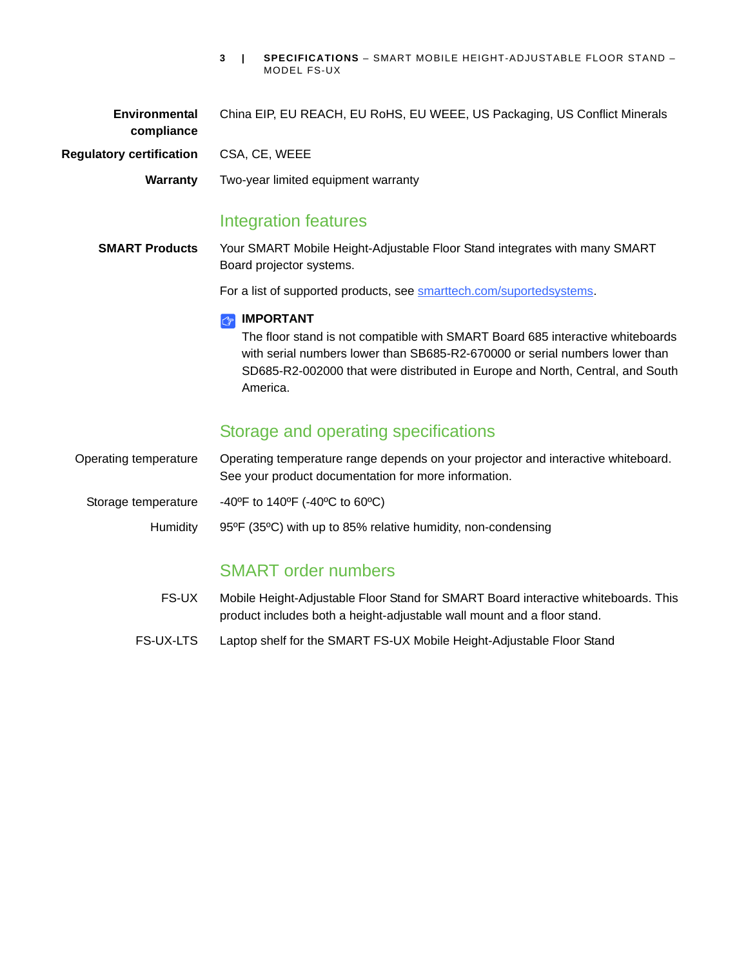| <b>Environmental</b><br>compliance | China EIP, EU REACH, EU RoHS, EU WEEE, US Packaging, US Conflict Minerals                                                                                                                                                                                                           |
|------------------------------------|-------------------------------------------------------------------------------------------------------------------------------------------------------------------------------------------------------------------------------------------------------------------------------------|
| <b>Regulatory certification</b>    | CSA, CE, WEEE                                                                                                                                                                                                                                                                       |
| Warranty                           | Two-year limited equipment warranty                                                                                                                                                                                                                                                 |
|                                    | <b>Integration features</b>                                                                                                                                                                                                                                                         |
| <b>SMART Products</b>              | Your SMART Mobile Height-Adjustable Floor Stand integrates with many SMART<br>Board projector systems.                                                                                                                                                                              |
|                                    | For a list of supported products, see smarttech.com/suportedsystems.                                                                                                                                                                                                                |
|                                    | <b>IMPORTANT</b><br>Ĝ<br>The floor stand is not compatible with SMART Board 685 interactive whiteboards<br>with serial numbers lower than SB685-R2-670000 or serial numbers lower than<br>SD685-R2-002000 that were distributed in Europe and North, Central, and South<br>America. |
|                                    | Storage and operating specifications                                                                                                                                                                                                                                                |
| Operating temperature              | Operating temperature range depends on your projector and interactive whiteboard.<br>See your product documentation for more information.                                                                                                                                           |
| Storage temperature                | -40°F to 140°F (-40°C to 60°C)                                                                                                                                                                                                                                                      |
| Humidity                           | 95°F (35°C) with up to 85% relative humidity, non-condensing                                                                                                                                                                                                                        |
|                                    |                                                                                                                                                                                                                                                                                     |

### SMART order numbers

- FS-UX Mobile Height-Adjustable Floor Stand for SMART Board interactive whiteboards. This product includes both a height-adjustable wall mount and a floor stand.
- FS-UX-LTS Laptop shelf for the SMART FS-UX Mobile Height-Adjustable Floor Stand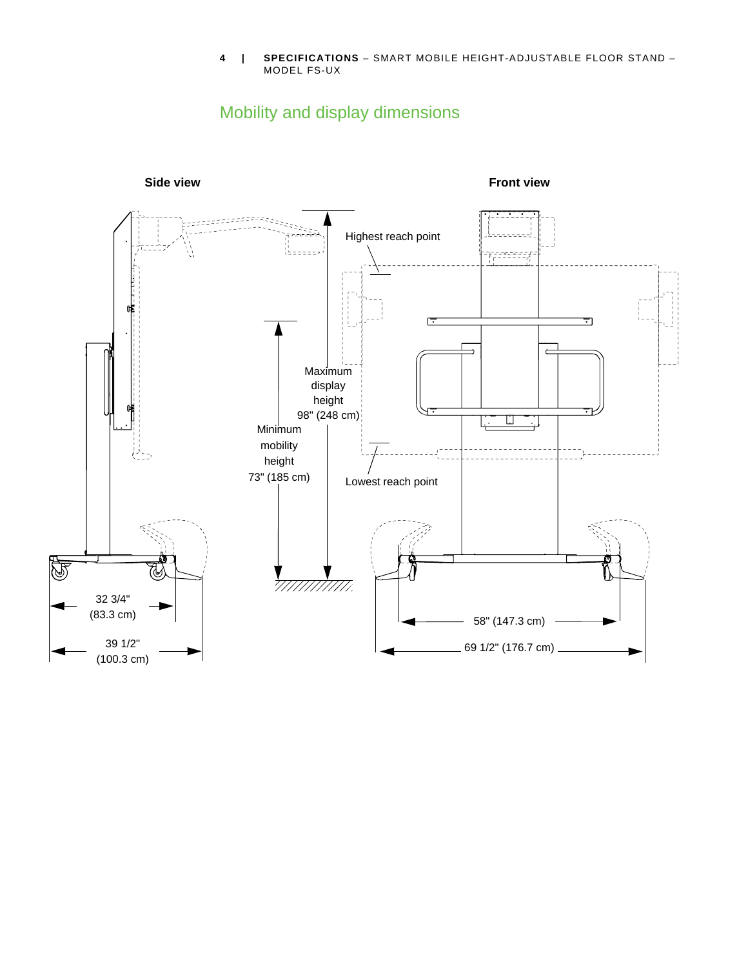# <span id="page-3-1"></span>Mobility and display dimensions

<span id="page-3-0"></span>